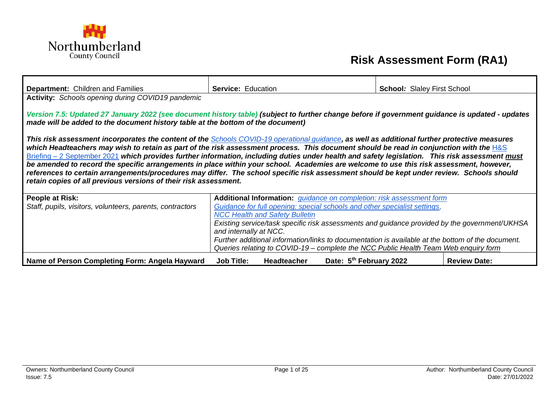

## **Risk Assessment Form (RA1)**

| <b>Department:</b> Children and Families                                                                                                                                                                                                                                                                                                                                                                                                                                                                                                                                                                                                                                                                                                                                                               | <b>Service: Education</b>                                                                     | <b>School: Slaley First School</b> |  |  |  |  |  |
|--------------------------------------------------------------------------------------------------------------------------------------------------------------------------------------------------------------------------------------------------------------------------------------------------------------------------------------------------------------------------------------------------------------------------------------------------------------------------------------------------------------------------------------------------------------------------------------------------------------------------------------------------------------------------------------------------------------------------------------------------------------------------------------------------------|-----------------------------------------------------------------------------------------------|------------------------------------|--|--|--|--|--|
| Activity: Schools opening during COVID19 pandemic                                                                                                                                                                                                                                                                                                                                                                                                                                                                                                                                                                                                                                                                                                                                                      |                                                                                               |                                    |  |  |  |  |  |
| Version 7.5: Updated 27 January 2022 (see document history table) (subject to further change before if government guidance is updated - updates<br>made will be added to the document history table at the bottom of the document)                                                                                                                                                                                                                                                                                                                                                                                                                                                                                                                                                                     |                                                                                               |                                    |  |  |  |  |  |
| This risk assessment incorporates the content of the Schools COVID-19 operational guidance, as well as additional further protective measures<br>which Headteachers may wish to retain as part of the risk assessment process. This document should be read in conjunction with the H&S<br>Briefing – 2 September 2021 which provides further information, including duties under health and safety legislation. This risk assessment must<br>be amended to record the specific arrangements in place within your school. Academies are welcome to use this risk assessment, however,<br>references to certain arrangements/procedures may differ. The school specific risk assessment should be kept under review. Schools should<br>retain copies of all previous versions of their risk assessment. |                                                                                               |                                    |  |  |  |  |  |
| People at Risk:                                                                                                                                                                                                                                                                                                                                                                                                                                                                                                                                                                                                                                                                                                                                                                                        | Additional Information: guidance on completion: risk assessment form                          |                                    |  |  |  |  |  |
| Staff, pupils, visitors, volunteers, parents, contractors                                                                                                                                                                                                                                                                                                                                                                                                                                                                                                                                                                                                                                                                                                                                              | Guidance for full opening: special schools and other specialist settings,                     |                                    |  |  |  |  |  |
|                                                                                                                                                                                                                                                                                                                                                                                                                                                                                                                                                                                                                                                                                                                                                                                                        | <b>NCC Health and Safety Bulletin</b>                                                         |                                    |  |  |  |  |  |
|                                                                                                                                                                                                                                                                                                                                                                                                                                                                                                                                                                                                                                                                                                                                                                                                        | Existing service/task specific risk assessments and guidance provided by the government/UKHSA |                                    |  |  |  |  |  |
| and internally at NCC.<br>Further additional information/links to documentation is available at the bottom of the document.                                                                                                                                                                                                                                                                                                                                                                                                                                                                                                                                                                                                                                                                            |                                                                                               |                                    |  |  |  |  |  |
| Queries relating to COVID-19 – complete the NCC Public Health Team Web enquiry form                                                                                                                                                                                                                                                                                                                                                                                                                                                                                                                                                                                                                                                                                                                    |                                                                                               |                                    |  |  |  |  |  |
| Name of Person Completing Form: Angela Hayward                                                                                                                                                                                                                                                                                                                                                                                                                                                                                                                                                                                                                                                                                                                                                         | Date: 5 <sup>th</sup> February 2022<br><b>Job Title:</b><br>Headteacher                       | <b>Review Date:</b>                |  |  |  |  |  |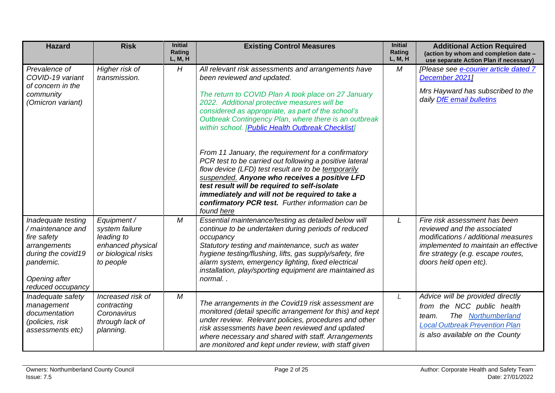<span id="page-1-0"></span>

| <b>Hazard</b>                                                                                                                                   | <b>Risk</b>                                                                                          | <b>Initial</b><br>Rating<br>L, M, H | <b>Existing Control Measures</b>                                                                                                                                                                                                                                                                                                                                                                                                                 | <b>Initial</b><br>Rating<br>L, M, H | <b>Additional Action Required</b><br>(action by whom and completion date -<br>use separate Action Plan if necessary)                                                                                       |
|-------------------------------------------------------------------------------------------------------------------------------------------------|------------------------------------------------------------------------------------------------------|-------------------------------------|--------------------------------------------------------------------------------------------------------------------------------------------------------------------------------------------------------------------------------------------------------------------------------------------------------------------------------------------------------------------------------------------------------------------------------------------------|-------------------------------------|------------------------------------------------------------------------------------------------------------------------------------------------------------------------------------------------------------|
| Prevalence of<br>COVID-19 variant<br>of concern in the<br>community<br>(Omicron variant)                                                        | Higher risk of<br>transmission.                                                                      | H                                   | All relevant risk assessments and arrangements have<br>been reviewed and updated.<br>The return to COVID Plan A took place on 27 January<br>2022. Additional protective measures will be<br>considered as appropriate, as part of the school's<br>Outbreak Contingency Plan, where there is an outbreak                                                                                                                                          | M                                   | [Please see e-courier article dated 7<br>December 2021]<br>Mrs Hayward has subscribed to the<br>daily DfE email bulletins                                                                                  |
|                                                                                                                                                 |                                                                                                      |                                     | within school. [Public Health Outbreak Checklist]<br>From 11 January, the requirement for a confirmatory<br>PCR test to be carried out following a positive lateral<br>flow device (LFD) test result are to be temporarily<br>suspended. Anyone who receives a positive LFD<br>test result will be required to self-isolate<br>immediately and will not be required to take a<br>confirmatory PCR test. Further information can be<br>found here |                                     |                                                                                                                                                                                                            |
| Inadequate testing<br>/ maintenance and<br>fire safety<br>arrangements<br>during the covid19<br>pandemic.<br>Opening after<br>reduced occupancy | Equipment /<br>system failure<br>leading to<br>enhanced physical<br>or biological risks<br>to people | $\boldsymbol{M}$                    | Essential maintenance/testing as detailed below will<br>continue to be undertaken during periods of reduced<br>occupancy<br>Statutory testing and maintenance, such as water<br>hygiene testing/flushing, lifts, gas supply/safety, fire<br>alarm system, emergency lighting, fixed electrical<br>installation, play/sporting equipment are maintained as<br>normal                                                                              | L                                   | Fire risk assessment has been<br>reviewed and the associated<br>modifications / additional measures<br>implemented to maintain an effective<br>fire strategy (e.g. escape routes,<br>doors held open etc). |
| Inadequate safety<br>management<br>documentation<br>(policies, risk<br>assessments etc)                                                         | Increased risk of<br>contracting<br>Coronavirus<br>through lack of<br>planning.                      | M                                   | The arrangements in the Covid19 risk assessment are<br>monitored (detail specific arrangement for this) and kept<br>under review. Relevant policies, procedures and other<br>risk assessments have been reviewed and updated<br>where necessary and shared with staff. Arrangements<br>are monitored and kept under review, with staff given                                                                                                     | L                                   | Advice will be provided directly<br>from the NCC public health<br>The Northumberland<br>team.<br><b>Local Outbreak Prevention Plan</b><br>is also available on the County                                  |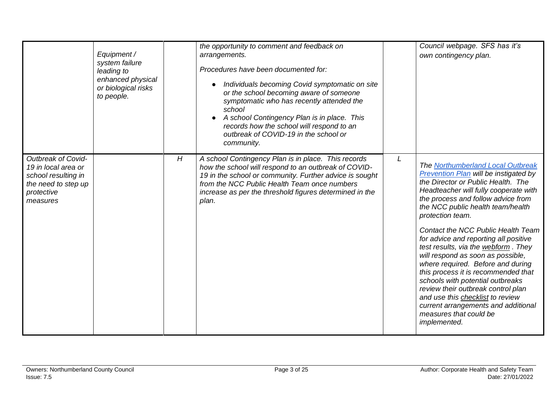<span id="page-2-0"></span>

|                                                                                                                   | Equipment /<br>system failure<br>leading to<br>enhanced physical<br>or biological risks<br>to people. |   | the opportunity to comment and feedback on<br>arrangements.<br>Procedures have been documented for:<br>Individuals becoming Covid symptomatic on site<br>or the school becoming aware of someone<br>symptomatic who has recently attended the<br>school<br>A school Contingency Plan is in place. This<br>records how the school will respond to an<br>outbreak of COVID-19 in the school or<br>community. |   | Council webpage. SFS has it's<br>own contingency plan.                                                                                                                                                                                                                                                                                                                                                                                                                                                                                                                                                                                                                                                |
|-------------------------------------------------------------------------------------------------------------------|-------------------------------------------------------------------------------------------------------|---|------------------------------------------------------------------------------------------------------------------------------------------------------------------------------------------------------------------------------------------------------------------------------------------------------------------------------------------------------------------------------------------------------------|---|-------------------------------------------------------------------------------------------------------------------------------------------------------------------------------------------------------------------------------------------------------------------------------------------------------------------------------------------------------------------------------------------------------------------------------------------------------------------------------------------------------------------------------------------------------------------------------------------------------------------------------------------------------------------------------------------------------|
| Outbreak of Covid-<br>19 in local area or<br>school resulting in<br>the need to step up<br>protective<br>measures |                                                                                                       | H | A school Contingency Plan is in place. This records<br>how the school will respond to an outbreak of COVID-<br>19 in the school or community. Further advice is sought<br>from the NCC Public Health Team once numbers<br>increase as per the threshold figures determined in the<br>plan.                                                                                                                 | L | The Northumberland Local Outbreak<br><b>Prevention Plan will be instigated by</b><br>the Director or Public Health. The<br>Headteacher will fully cooperate with<br>the process and follow advice from<br>the NCC public health team/health<br>protection team.<br>Contact the NCC Public Health Team<br>for advice and reporting all positive<br>test results, via the webform. They<br>will respond as soon as possible,<br>where required. Before and during<br>this process it is recommended that<br>schools with potential outbreaks<br>review their outbreak control plan<br>and use this checklist to review<br>current arrangements and additional<br>measures that could be<br>implemented. |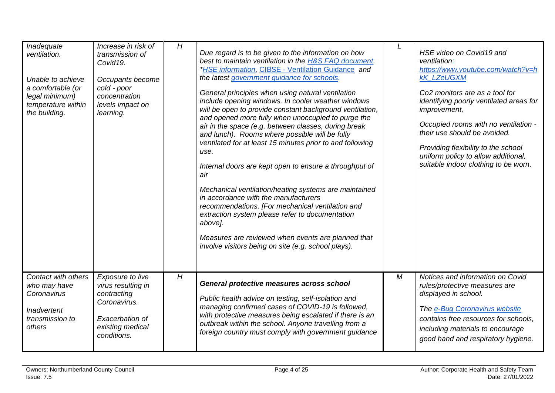<span id="page-3-1"></span><span id="page-3-0"></span>

| Inadequate<br>ventilation.<br>Unable to achieve<br>a comfortable (or<br>legal minimum)<br>temperature within<br>the building. | Increase in risk of<br>transmission of<br>Covid <sub>19</sub> .<br>Occupants become<br>cold - poor<br>concentration<br>levels impact on<br>learning. | H | Due regard is to be given to the information on how<br>best to maintain ventilation in the H&S FAQ document,<br>"HSE information, CIBSE - Ventilation Guidance and<br>the latest government guidance for schools.<br>General principles when using natural ventilation<br>include opening windows. In cooler weather windows<br>will be open to provide constant background ventilation,<br>and opened more fully when unoccupied to purge the<br>air in the space (e.g. between classes, during break<br>and lunch). Rooms where possible will be fully<br>ventilated for at least 15 minutes prior to and following<br>use.<br>Internal doors are kept open to ensure a throughput of<br>air<br>Mechanical ventilation/heating systems are maintained<br>in accordance with the manufacturers<br>recommendations. [For mechanical ventilation and<br>extraction system please refer to documentation<br>above].<br>Measures are reviewed when events are planned that<br>involve visitors being on site (e.g. school plays). |   | HSE video on Covid19 and<br>ventilation:<br>https://www.youtube.com/watch?v=h<br><b>kK LZeUGXM</b><br>Co <sub>2</sub> monitors are as a tool for<br>identifying poorly ventilated areas for<br><i>improvement,</i><br>Occupied rooms with no ventilation -<br>their use should be avoided.<br>Providing flexibility to the school<br>uniform policy to allow additional,<br>suitable indoor clothing to be worn. |
|-------------------------------------------------------------------------------------------------------------------------------|------------------------------------------------------------------------------------------------------------------------------------------------------|---|--------------------------------------------------------------------------------------------------------------------------------------------------------------------------------------------------------------------------------------------------------------------------------------------------------------------------------------------------------------------------------------------------------------------------------------------------------------------------------------------------------------------------------------------------------------------------------------------------------------------------------------------------------------------------------------------------------------------------------------------------------------------------------------------------------------------------------------------------------------------------------------------------------------------------------------------------------------------------------------------------------------------------------|---|------------------------------------------------------------------------------------------------------------------------------------------------------------------------------------------------------------------------------------------------------------------------------------------------------------------------------------------------------------------------------------------------------------------|
| Contact with others<br>who may have<br>Coronavirus<br><b>Inadvertent</b><br>transmission to<br>others                         | Exposure to live<br>virus resulting in<br>contracting<br>Coronavirus.<br>Exacerbation of<br>existing medical<br>conditions.                          | H | General protective measures across school<br>Public health advice on testing, self-isolation and<br>managing confirmed cases of COVID-19 is followed,<br>with protective measures being escalated if there is an<br>outbreak within the school. Anyone travelling from a<br>foreign country must comply with government guidance                                                                                                                                                                                                                                                                                                                                                                                                                                                                                                                                                                                                                                                                                               | M | Notices and information on Covid<br>rules/protective measures are<br>displayed in school.<br>The e-Bug Coronavirus website<br>contains free resources for schools,<br>including materials to encourage<br>good hand and respiratory hygiene.                                                                                                                                                                     |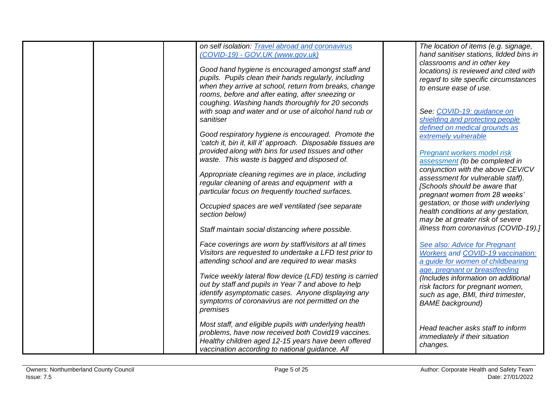| on self isolation: Travel abroad and coronavirus<br>(COVID-19) - GOV.UK (www.gov.uk)<br>Good hand hygiene is encouraged amongst staff and<br>pupils. Pupils clean their hands regularly, including<br>when they arrive at school, return from breaks, change<br>rooms, before and after eating, after sneezing or | The location of items (e.g. signage,<br>hand sanitiser stations, lidded bins in<br>classrooms and in other key<br>locations) is reviewed and cited with<br>regard to site specific circumstances<br>to ensure ease of use. |
|-------------------------------------------------------------------------------------------------------------------------------------------------------------------------------------------------------------------------------------------------------------------------------------------------------------------|----------------------------------------------------------------------------------------------------------------------------------------------------------------------------------------------------------------------------|
| coughing. Washing hands thoroughly for 20 seconds<br>with soap and water and or use of alcohol hand rub or<br>sanitiser                                                                                                                                                                                           | See: COVID-19: guidance on<br>shielding and protecting people<br>defined on medical grounds as                                                                                                                             |
| Good respiratory hygiene is encouraged. Promote the<br>'catch it, bin it, kill it' approach. Disposable tissues are<br>provided along with bins for used tissues and other<br>waste. This waste is bagged and disposed of.                                                                                        | extremely vulnerable<br><b>Pregnant workers model risk</b>                                                                                                                                                                 |
| Appropriate cleaning regimes are in place, including<br>regular cleaning of areas and equipment with a<br>particular focus on frequently touched surfaces.                                                                                                                                                        | assessment (to be completed in<br>conjunction with the above CEV/CV<br>assessment for vulnerable staff).<br>[Schools should be aware that<br>pregnant women from 28 weeks'                                                 |
| Occupied spaces are well ventilated (see separate<br>section below)                                                                                                                                                                                                                                               | gestation, or those with underlying<br>health conditions at any gestation,<br>may be at greater risk of severe                                                                                                             |
| Staff maintain social distancing where possible.<br>Face coverings are worn by staff/visitors at all times                                                                                                                                                                                                        | illness from coronavirus (COVID-19).]<br>See also: Advice for Pregnant                                                                                                                                                     |
| Visitors are requested to undertake a LFD test prior to<br>attending school and are required to wear masks<br>Twice weekly lateral flow device (LFD) testing is carried                                                                                                                                           | <b>Workers and COVID-19 vaccination:</b><br>a guide for women of childbearing<br>age, pregnant or breastfeeding                                                                                                            |
| out by staff and pupils in Year 7 and above to help<br>identify asymptomatic cases. Anyone displaying any<br>symptoms of coronavirus are not permitted on the<br>premises                                                                                                                                         | (Includes information on additional<br>risk factors for pregnant women,<br>such as age, BMI, third trimester,<br><b>BAME</b> background)                                                                                   |
| Most staff, and eligible pupils with underlying health<br>problems, have now received both Covid19 vaccines.<br>Healthy children aged 12-15 years have been offered<br>vaccination according to national guidance. All                                                                                            | Head teacher asks staff to inform<br><i>immediately if their situation</i><br>changes.                                                                                                                                     |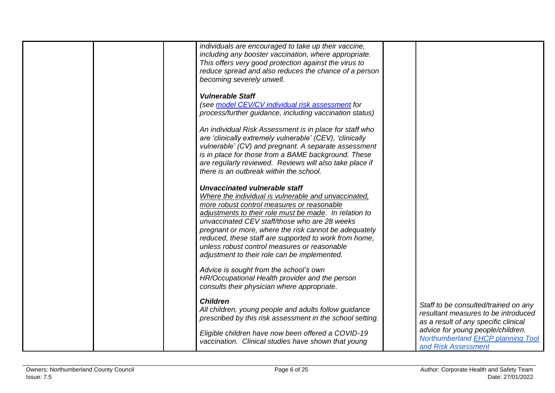|  | individuals are encouraged to take up their vaccine,<br>including any booster vaccination, where appropriate.<br>This offers very good protection against the virus to<br>reduce spread and also reduces the chance of a person<br>becoming severely unwell.                                                                                                                                                                                                     |                                                                                                                     |
|--|------------------------------------------------------------------------------------------------------------------------------------------------------------------------------------------------------------------------------------------------------------------------------------------------------------------------------------------------------------------------------------------------------------------------------------------------------------------|---------------------------------------------------------------------------------------------------------------------|
|  | <b>Vulnerable Staff</b><br>(see model CEV/CV individual risk assessment for<br>process/further guidance, including vaccination status)                                                                                                                                                                                                                                                                                                                           |                                                                                                                     |
|  | An individual Risk Assessment is in place for staff who<br>are 'clinically extremely vulnerable' (CEV), 'clinically<br>vulnerable' (CV) and pregnant. A separate assessment<br>is in place for those from a BAME background. These<br>are regularly reviewed. Reviews will also take place if<br>there is an outbreak within the school.                                                                                                                         |                                                                                                                     |
|  | Unvaccinated vulnerable staff<br>Where the individual is vulnerable and unvaccinated,<br>more robust control measures or reasonable<br>adjustments to their role must be made. In relation to<br>unvaccinated CEV staff/those who are 28 weeks<br>pregnant or more, where the risk cannot be adequately<br>reduced, these staff are supported to work from home,<br>unless robust control measures or reasonable<br>adjustment to their role can be implemented. |                                                                                                                     |
|  | Advice is sought from the school's own<br>HR/Occupational Health provider and the person<br>consults their physician where appropriate.                                                                                                                                                                                                                                                                                                                          |                                                                                                                     |
|  | <b>Children</b><br>All children, young people and adults follow guidance<br>prescribed by this risk assessment in the school setting.                                                                                                                                                                                                                                                                                                                            | Staff to be consulted/trained on any<br>resultant measures to be introduced<br>as a result of any specific clinical |
|  | Eligible children have now been offered a COVID-19<br>vaccination. Clinical studies have shown that young                                                                                                                                                                                                                                                                                                                                                        | advice for young people/children.<br><b>Northumberland EHCP planning Tool</b><br>and Risk Assessment                |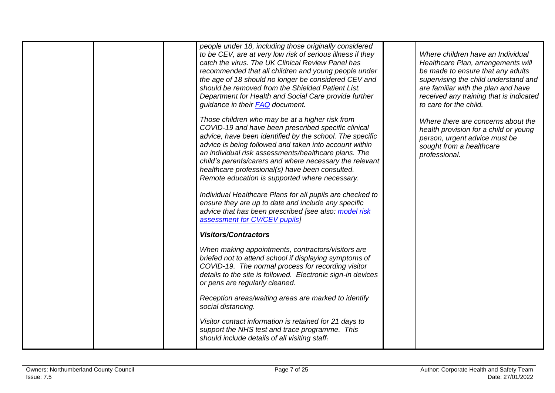|  | people under 18, including those originally considered<br>to be CEV, are at very low risk of serious illness if they<br>catch the virus. The UK Clinical Review Panel has<br>recommended that all children and young people under<br>the age of 18 should no longer be considered CEV and<br>should be removed from the Shielded Patient List.<br>Department for Health and Social Care provide further<br>guidance in their <b>FAQ</b> document.                                                                                                                                                                                                                  | Where children have an Individual<br>Healthcare Plan, arrangements will<br>be made to ensure that any adults<br>supervising the child understand and<br>are familiar with the plan and have<br>received any training that is indicated<br>to care for the child. |
|--|--------------------------------------------------------------------------------------------------------------------------------------------------------------------------------------------------------------------------------------------------------------------------------------------------------------------------------------------------------------------------------------------------------------------------------------------------------------------------------------------------------------------------------------------------------------------------------------------------------------------------------------------------------------------|------------------------------------------------------------------------------------------------------------------------------------------------------------------------------------------------------------------------------------------------------------------|
|  | Those children who may be at a higher risk from<br>COVID-19 and have been prescribed specific clinical<br>advice, have been identified by the school. The specific<br>advice is being followed and taken into account within<br>an individual risk assessments/healthcare plans. The<br>child's parents/carers and where necessary the relevant<br>healthcare professional(s) have been consulted.<br>Remote education is supported where necessary.<br>Individual Healthcare Plans for all pupils are checked to<br>ensure they are up to date and include any specific<br>advice that has been prescribed [see also: model risk<br>assessment for CV/CEV pupils] | Where there are concerns about the<br>health provision for a child or young<br>person, urgent advice must be<br>sought from a healthcare<br>professional.                                                                                                        |
|  | <b>Visitors/Contractors</b>                                                                                                                                                                                                                                                                                                                                                                                                                                                                                                                                                                                                                                        |                                                                                                                                                                                                                                                                  |
|  | When making appointments, contractors/visitors are<br>briefed not to attend school if displaying symptoms of<br>COVID-19. The normal process for recording visitor<br>details to the site is followed. Electronic sign-in devices<br>or pens are regularly cleaned.                                                                                                                                                                                                                                                                                                                                                                                                |                                                                                                                                                                                                                                                                  |
|  | Reception areas/waiting areas are marked to identify<br>social distancing.                                                                                                                                                                                                                                                                                                                                                                                                                                                                                                                                                                                         |                                                                                                                                                                                                                                                                  |
|  | Visitor contact information is retained for 21 days to<br>support the NHS test and trace programme. This<br>should include details of all visiting staff.                                                                                                                                                                                                                                                                                                                                                                                                                                                                                                          |                                                                                                                                                                                                                                                                  |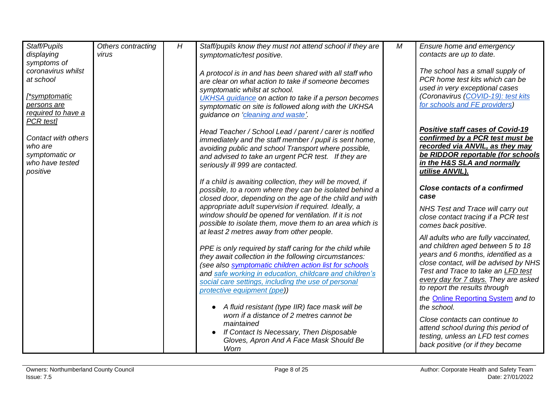<span id="page-7-0"></span>

| Staff/Pupils                        | Others contracting | H | Staff/pupils know they must not attend school if they are                                                            | ${\cal M}$ | Ensure home and emergency                                            |
|-------------------------------------|--------------------|---|----------------------------------------------------------------------------------------------------------------------|------------|----------------------------------------------------------------------|
| displaying                          | virus              |   | symptomatic/test positive.                                                                                           |            | contacts are up to date.                                             |
| symptoms of                         |                    |   |                                                                                                                      |            |                                                                      |
| coronavirus whilst                  |                    |   | A protocol is in and has been shared with all staff who                                                              |            | The school has a small supply of                                     |
| at school                           |                    |   | are clear on what action to take if someone becomes                                                                  |            | PCR home test kits which can be                                      |
|                                     |                    |   | symptomatic whilst at school.                                                                                        |            | used in very exceptional cases<br>(Coronavirus (COVID-19): test kits |
| <u>[*symptomatic</u><br>persons are |                    |   | UKHSA guidance on action to take if a person becomes                                                                 |            | for schools and FE providers)                                        |
| required to have a                  |                    |   | symptomatic on site is followed along with the UKHSA<br>guidance on 'cleaning and waste'.                            |            |                                                                      |
| PCR test]                           |                    |   |                                                                                                                      |            |                                                                      |
|                                     |                    |   | Head Teacher / School Lead / parent / carer is notified                                                              |            | <b>Positive staff cases of Covid-19</b>                              |
| Contact with others                 |                    |   | immediately and the staff member / pupil is sent home,                                                               |            | confirmed by a PCR test must be                                      |
| who are                             |                    |   | avoiding public and school Transport where possible,                                                                 |            | recorded via ANVIL, as they may                                      |
| symptomatic or<br>who have tested   |                    |   | and advised to take an urgent PCR test. If they are                                                                  |            | be RIDDOR reportable (for schools                                    |
| positive                            |                    |   | seriously ill 999 are contacted.                                                                                     |            | in the H&S SLA and normally<br>utilise ANVIL).                       |
|                                     |                    |   |                                                                                                                      |            |                                                                      |
|                                     |                    |   | If a child is awaiting collection, they will be moved, if<br>possible, to a room where they can be isolated behind a |            | <b>Close contacts of a confirmed</b>                                 |
|                                     |                    |   | closed door, depending on the age of the child and with                                                              |            | case                                                                 |
|                                     |                    |   | appropriate adult supervision if required. Ideally, a                                                                |            | NHS Test and Trace will carry out                                    |
|                                     |                    |   | window should be opened for ventilation. If it is not                                                                |            | close contact tracing if a PCR test                                  |
|                                     |                    |   | possible to isolate them, move them to an area which is                                                              |            | comes back positive.                                                 |
|                                     |                    |   | at least 2 metres away from other people.                                                                            |            | All adults who are fully vaccinated,                                 |
|                                     |                    |   | PPE is only required by staff caring for the child while                                                             |            | and children aged between 5 to 18                                    |
|                                     |                    |   | they await collection in the following circumstances:                                                                |            | years and 6 months, identified as a                                  |
|                                     |                    |   | (see also symptomatic children action list for schools                                                               |            | close contact, will be advised by NHS                                |
|                                     |                    |   | and safe working in education, childcare and children's                                                              |            | Test and Trace to take an LFD test                                   |
|                                     |                    |   | social care settings, including the use of personal                                                                  |            | every day for 7 days. They are asked                                 |
|                                     |                    |   | protective equipment (ppe))                                                                                          |            | to report the results through                                        |
|                                     |                    |   |                                                                                                                      |            | the Online Reporting System and to                                   |
|                                     |                    |   | • A fluid resistant (type IIR) face mask will be<br>worn if a distance of 2 metres cannot be                         |            | the school.                                                          |
|                                     |                    |   | maintained                                                                                                           |            | Close contacts can continue to                                       |
|                                     |                    |   | If Contact Is Necessary, Then Disposable                                                                             |            | attend school during this period of                                  |
|                                     |                    |   | Gloves, Apron And A Face Mask Should Be                                                                              |            | testing, unless an LFD test comes                                    |
|                                     |                    |   | Worn                                                                                                                 |            | back positive (or if they become                                     |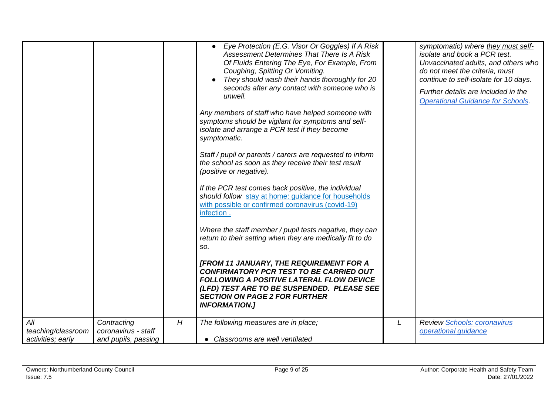|                                                |                                                           |                | Eye Protection (E.G. Visor Or Goggles) If A Risk<br><b>Assessment Determines That There Is A Risk</b><br>Of Fluids Entering The Eye, For Example, From<br>Coughing, Spitting Or Vomiting.<br>They should wash their hands thoroughly for 20<br>seconds after any contact with someone who is<br>unwell.<br>Any members of staff who have helped someone with<br>symptoms should be vigilant for symptoms and self-<br>isolate and arrange a PCR test if they become<br>symptomatic.<br>Staff / pupil or parents / carers are requested to inform<br>the school as soon as they receive their test result<br>(positive or negative).<br>If the PCR test comes back positive, the individual<br>should follow stay at home: guidance for households |   | symptomatic) where they must self-<br>isolate and book a PCR test.<br>Unvaccinated adults, and others who<br>do not meet the criteria, must<br>continue to self-isolate for 10 days.<br>Further details are included in the<br><b>Operational Guidance for Schools.</b> |
|------------------------------------------------|-----------------------------------------------------------|----------------|---------------------------------------------------------------------------------------------------------------------------------------------------------------------------------------------------------------------------------------------------------------------------------------------------------------------------------------------------------------------------------------------------------------------------------------------------------------------------------------------------------------------------------------------------------------------------------------------------------------------------------------------------------------------------------------------------------------------------------------------------|---|-------------------------------------------------------------------------------------------------------------------------------------------------------------------------------------------------------------------------------------------------------------------------|
|                                                |                                                           |                | infection.<br>Where the staff member / pupil tests negative, they can<br>return to their setting when they are medically fit to do<br>SO.<br>[FROM 11 JANUARY, THE REQUIREMENT FOR A<br><b>CONFIRMATORY PCR TEST TO BE CARRIED OUT</b><br><b>FOLLOWING A POSITIVE LATERAL FLOW DEVICE</b><br>(LFD) TEST ARE TO BE SUSPENDED. PLEASE SEE<br><b>SECTION ON PAGE 2 FOR FURTHER</b><br><b>INFORMATION.]</b>                                                                                                                                                                                                                                                                                                                                           |   |                                                                                                                                                                                                                                                                         |
| All<br>teaching/classroom<br>activities; early | Contracting<br>coronavirus - staff<br>and pupils, passing | $\overline{H}$ | The following measures are in place;<br>• Classrooms are well ventilated                                                                                                                                                                                                                                                                                                                                                                                                                                                                                                                                                                                                                                                                          | L | <b>Review Schools: coronavirus</b><br>operational guidance                                                                                                                                                                                                              |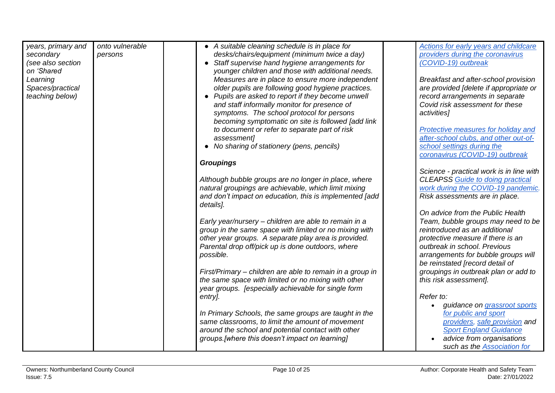|                    | onto vulnerable |                                                                                                                                                           |                                                                                             |
|--------------------|-----------------|-----------------------------------------------------------------------------------------------------------------------------------------------------------|---------------------------------------------------------------------------------------------|
| years, primary and |                 | • A suitable cleaning schedule is in place for                                                                                                            | Actions for early years and childcare                                                       |
| secondary          | persons         | desks/chairs/equipment (minimum twice a day)                                                                                                              | providers during the coronavirus                                                            |
| (see also section  |                 | • Staff supervise hand hygiene arrangements for                                                                                                           | (COVID-19) outbreak                                                                         |
| on 'Shared         |                 | younger children and those with additional needs.                                                                                                         |                                                                                             |
| Learning           |                 | Measures are in place to ensure more independent                                                                                                          | Breakfast and after-school provision                                                        |
| Spaces/practical   |                 | older pupils are following good hygiene practices.                                                                                                        | are provided [delete if appropriate or                                                      |
| teaching below)    |                 | • Pupils are asked to report if they become unwell                                                                                                        | record arrangements in separate                                                             |
|                    |                 | and staff informally monitor for presence of                                                                                                              | Covid risk assessment for these                                                             |
|                    |                 |                                                                                                                                                           |                                                                                             |
|                    |                 | symptoms. The school protocol for persons                                                                                                                 | activities]                                                                                 |
|                    |                 | becoming symptomatic on site is followed [add link                                                                                                        |                                                                                             |
|                    |                 | to document or refer to separate part of risk                                                                                                             | Protective measures for holiday and                                                         |
|                    |                 | assessment]                                                                                                                                               | after-school clubs, and other out-of-                                                       |
|                    |                 | • No sharing of stationery (pens, pencils)                                                                                                                | school settings during the                                                                  |
|                    |                 |                                                                                                                                                           | coronavirus (COVID-19) outbreak                                                             |
|                    |                 | <b>Groupings</b>                                                                                                                                          |                                                                                             |
|                    |                 |                                                                                                                                                           | Science - practical work is in line with                                                    |
|                    |                 | Although bubble groups are no longer in place, where                                                                                                      | <b>CLEAPSS Guide to doing practical</b>                                                     |
|                    |                 |                                                                                                                                                           |                                                                                             |
|                    |                 | natural groupings are achievable, which limit mixing                                                                                                      | work during the COVID-19 pandemic.                                                          |
|                    |                 | and don't impact on education, this is implemented [add                                                                                                   | Risk assessments are in place.                                                              |
|                    |                 | details].                                                                                                                                                 |                                                                                             |
|                    |                 |                                                                                                                                                           | On advice from the Public Health                                                            |
|                    |                 | Early year/nursery - children are able to remain in a                                                                                                     | Team, bubble groups may need to be                                                          |
|                    |                 | group in the same space with limited or no mixing with                                                                                                    | reintroduced as an additional                                                               |
|                    |                 | other year groups. A separate play area is provided.                                                                                                      | protective measure if there is an                                                           |
|                    |                 | Parental drop off/pick up is done outdoors, where                                                                                                         | outbreak in school. Previous                                                                |
|                    |                 | possible.                                                                                                                                                 | arrangements for bubble groups will                                                         |
|                    |                 |                                                                                                                                                           | be reinstated [record detail of                                                             |
|                    |                 | First/Primary - children are able to remain in a group in                                                                                                 | groupings in outbreak plan or add to                                                        |
|                    |                 |                                                                                                                                                           |                                                                                             |
|                    |                 | the same space with limited or no mixing with other                                                                                                       | this risk assessment].                                                                      |
|                    |                 | year groups. [especially achievable for single form                                                                                                       |                                                                                             |
|                    |                 | entry].                                                                                                                                                   | Refer to:                                                                                   |
|                    |                 |                                                                                                                                                           | guidance on grassroot sports                                                                |
|                    |                 | In Primary Schools, the same groups are taught in the                                                                                                     | for public and sport                                                                        |
|                    |                 |                                                                                                                                                           |                                                                                             |
|                    |                 |                                                                                                                                                           |                                                                                             |
|                    |                 |                                                                                                                                                           |                                                                                             |
|                    |                 |                                                                                                                                                           | such as the Association for                                                                 |
|                    |                 | same classrooms, to limit the amount of movement<br>around the school and potential contact with other<br>groups. [where this doesn't impact on learning] | providers, safe provision and<br><b>Sport England Guidance</b><br>advice from organisations |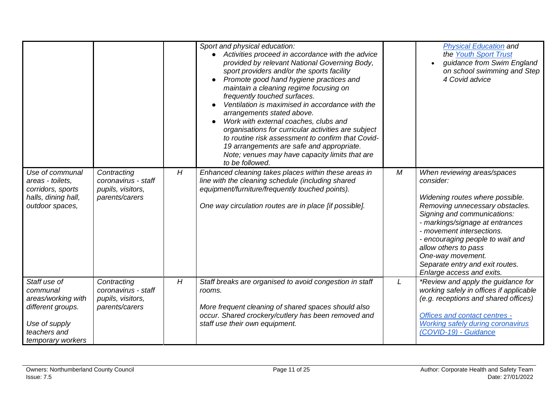|                                                                                                                           |                                                                           |   | Sport and physical education:<br>Activities proceed in accordance with the advice<br>provided by relevant National Governing Body,<br>sport providers and/or the sports facility<br>Promote good hand hygiene practices and<br>maintain a cleaning regime focusing on<br>frequently touched surfaces.<br>Ventilation is maximised in accordance with the<br>arrangements stated above. |                  | <b>Physical Education and</b><br>the Youth Sport Trust<br>guidance from Swim England<br>on school swimming and Step<br>4 Covid advice                                                                                                                                                                                                                          |
|---------------------------------------------------------------------------------------------------------------------------|---------------------------------------------------------------------------|---|----------------------------------------------------------------------------------------------------------------------------------------------------------------------------------------------------------------------------------------------------------------------------------------------------------------------------------------------------------------------------------------|------------------|----------------------------------------------------------------------------------------------------------------------------------------------------------------------------------------------------------------------------------------------------------------------------------------------------------------------------------------------------------------|
|                                                                                                                           |                                                                           |   | Work with external coaches, clubs and<br>organisations for curricular activities are subject<br>to routine risk assessment to confirm that Covid-<br>19 arrangements are safe and appropriate.<br>Note; venues may have capacity limits that are<br>to be followed.                                                                                                                    |                  |                                                                                                                                                                                                                                                                                                                                                                |
| Use of communal<br>areas - toilets,<br>corridors, sports<br>halls, dining hall,<br>outdoor spaces,                        | Contracting<br>coronavirus - staff<br>pupils, visitors,<br>parents/carers | H | Enhanced cleaning takes places within these areas in<br>line with the cleaning schedule (including shared<br>equipment/furniture/frequently touched points).<br>One way circulation routes are in place [if possible].                                                                                                                                                                 | $\boldsymbol{M}$ | When reviewing areas/spaces<br>consider:<br>Widening routes where possible.<br>Removing unnecessary obstacles.<br>Signing and communications:<br>- markings/signage at entrances<br>- movement intersections.<br>- encouraging people to wait and<br>allow others to pass<br>One-way movement.<br>Separate entry and exit routes.<br>Enlarge access and exits. |
| Staff use of<br>communal<br>areas/working with<br>different groups.<br>Use of supply<br>teachers and<br>temporary workers | Contracting<br>coronavirus - staff<br>pupils, visitors,<br>parents/carers | H | Staff breaks are organised to avoid congestion in staff<br>rooms.<br>More frequent cleaning of shared spaces should also<br>occur. Shared crockery/cutlery has been removed and<br>staff use their own equipment.                                                                                                                                                                      | L                | *Review and apply the guidance for<br>working safely in offices if applicable<br>(e.g. receptions and shared offices)<br><b>Offices and contact centres -</b><br><b>Working safely during coronavirus</b><br>(COVID-19) - Guidance                                                                                                                             |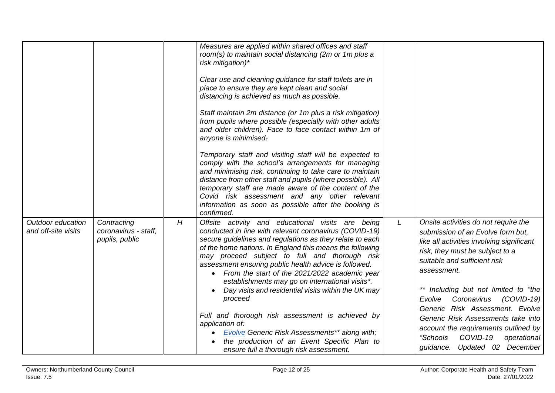<span id="page-11-0"></span>

|                                          |                                                       |   | Measures are applied within shared offices and staff<br>room(s) to maintain social distancing (2m or 1m plus a<br>risk mitigation)*<br>Clear use and cleaning guidance for staff toilets are in<br>place to ensure they are kept clean and social<br>distancing is achieved as much as possible.<br>Staff maintain 2m distance (or 1m plus a risk mitigation)<br>from pupils where possible (especially with other adults<br>and older children). Face to face contact within 1m of<br>anyone is minimised.<br>Temporary staff and visiting staff will be expected to<br>comply with the school's arrangements for managing<br>and minimising risk, continuing to take care to maintain<br>distance from other staff and pupils (where possible). All<br>temporary staff are made aware of the content of the<br>Covid risk assessment and any other relevant<br>information as soon as possible after the booking is<br>confirmed. |   |                                                                                                                                                                                                                                                                                                                                                                                                                                                                                 |
|------------------------------------------|-------------------------------------------------------|---|-------------------------------------------------------------------------------------------------------------------------------------------------------------------------------------------------------------------------------------------------------------------------------------------------------------------------------------------------------------------------------------------------------------------------------------------------------------------------------------------------------------------------------------------------------------------------------------------------------------------------------------------------------------------------------------------------------------------------------------------------------------------------------------------------------------------------------------------------------------------------------------------------------------------------------------|---|---------------------------------------------------------------------------------------------------------------------------------------------------------------------------------------------------------------------------------------------------------------------------------------------------------------------------------------------------------------------------------------------------------------------------------------------------------------------------------|
| Outdoor education<br>and off-site visits | Contracting<br>coronavirus - staff,<br>pupils, public | H | Offsite activity and educational visits are being<br>conducted in line with relevant coronavirus (COVID-19)<br>secure guidelines and regulations as they relate to each<br>of the home nations. In England this means the following<br>may proceed subject to full and thorough risk<br>assessment ensuring public health advice is followed.<br>• From the start of the 2021/2022 academic year<br>establishments may go on international visits*.<br>Day visits and residential visits within the UK may<br>proceed<br>Full and thorough risk assessment is achieved by<br>application of:<br><b>Evolve Generic Risk Assessments** along with;</b><br>the production of an Event Specific Plan to<br>ensure full a thorough risk assessment.                                                                                                                                                                                      | L | Onsite activities do not require the<br>submission of an Evolve form but,<br>like all activities involving significant<br>risk, they must be subject to a<br>suitable and sufficient risk<br>assessment.<br>** Including but not limited to "the<br>Coronavirus<br>$(COVID-19)$<br>Evolve<br>Generic Risk Assessment. Evolve<br>Generic Risk Assessments take into<br>account the requirements outlined by<br>"Schools COVID-19<br>operational<br>guidance. Updated 02 December |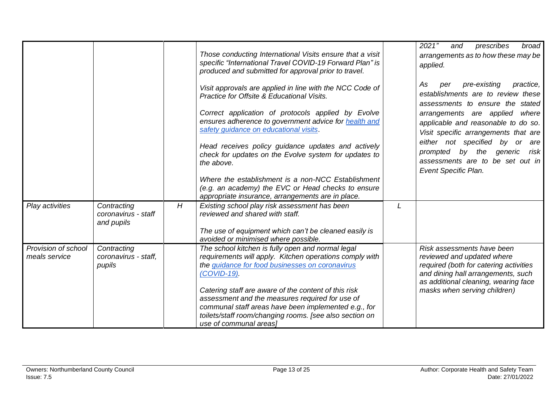|                                      |                                                  |   | Those conducting International Visits ensure that a visit<br>specific "International Travel COVID-19 Forward Plan" is<br>produced and submitted for approval prior to travel.                                                                        |   | 2021"<br>prescribes<br>broad<br>and<br>arrangements as to how these may be<br>applied.                                                                                           |
|--------------------------------------|--------------------------------------------------|---|------------------------------------------------------------------------------------------------------------------------------------------------------------------------------------------------------------------------------------------------------|---|----------------------------------------------------------------------------------------------------------------------------------------------------------------------------------|
|                                      |                                                  |   | Visit approvals are applied in line with the NCC Code of<br>Practice for Offsite & Educational Visits.                                                                                                                                               |   | pre-existing<br>As<br>practice,<br>per<br>establishments are to review these<br>assessments to ensure the stated                                                                 |
|                                      |                                                  |   | Correct application of protocols applied by Evolve<br>ensures adherence to government advice for health and<br>safety guidance on educational visits.                                                                                                |   | arrangements are applied where<br>applicable and reasonable to do so.<br>Visit specific arrangements that are                                                                    |
|                                      |                                                  |   | Head receives policy guidance updates and actively<br>check for updates on the Evolve system for updates to<br>the above.                                                                                                                            |   | either not specified by or are<br>prompted by the generic<br>risk<br>assessments are to be set out in<br>Event Specific Plan.                                                    |
|                                      |                                                  |   | Where the establishment is a non-NCC Establishment<br>(e.g. an academy) the EVC or Head checks to ensure<br>appropriate insurance, arrangements are in place.                                                                                        |   |                                                                                                                                                                                  |
| Play activities                      | Contracting<br>coronavirus - staff<br>and pupils | H | Existing school play risk assessment has been<br>reviewed and shared with staff.                                                                                                                                                                     | L |                                                                                                                                                                                  |
|                                      |                                                  |   | The use of equipment which can't be cleaned easily is<br>avoided or minimised where possible.                                                                                                                                                        |   |                                                                                                                                                                                  |
| Provision of school<br>meals service | Contracting<br>coronavirus - staff.<br>pupils    |   | The school kitchen is fully open and normal legal<br>requirements will apply. Kitchen operations comply with<br>the guidance for food businesses on coronavirus<br>$(COVID-19)$                                                                      |   | Risk assessments have been<br>reviewed and updated where<br>required (both for catering activities<br>and dining hall arrangements, such<br>as additional cleaning, wearing face |
|                                      |                                                  |   | Catering staff are aware of the content of this risk<br>assessment and the measures required for use of<br>communal staff areas have been implemented e.g., for<br>toilets/staff room/changing rooms. [see also section on<br>use of communal areas] |   | masks when serving children)                                                                                                                                                     |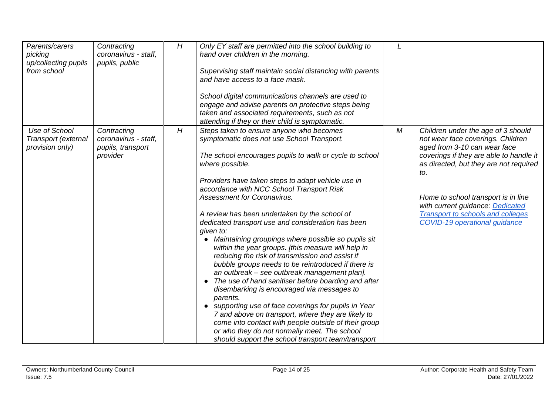| Parents/carers<br>picking<br>up/collecting pupils<br>from school | Contracting<br>coronavirus - staff,<br>pupils, public                | H | Only EY staff are permitted into the school building to<br>hand over children in the morning.<br>Supervising staff maintain social distancing with parents<br>and have access to a face mask.<br>School digital communications channels are used to<br>engage and advise parents on protective steps being<br>taken and associated requirements, such as not<br>attending if they or their child is symptomatic.                                                                                                                                                                                                                                                                                                                                                                                                                                                                                                                                                                                                                                                                                                               | L |                                                                                                                                                                                                                                                                                                                                                             |
|------------------------------------------------------------------|----------------------------------------------------------------------|---|--------------------------------------------------------------------------------------------------------------------------------------------------------------------------------------------------------------------------------------------------------------------------------------------------------------------------------------------------------------------------------------------------------------------------------------------------------------------------------------------------------------------------------------------------------------------------------------------------------------------------------------------------------------------------------------------------------------------------------------------------------------------------------------------------------------------------------------------------------------------------------------------------------------------------------------------------------------------------------------------------------------------------------------------------------------------------------------------------------------------------------|---|-------------------------------------------------------------------------------------------------------------------------------------------------------------------------------------------------------------------------------------------------------------------------------------------------------------------------------------------------------------|
| Use of School<br>Transport (external<br>provision only)          | Contracting<br>coronavirus - staff,<br>pupils, transport<br>provider | H | Steps taken to ensure anyone who becomes<br>symptomatic does not use School Transport.<br>The school encourages pupils to walk or cycle to school<br>where possible.<br>Providers have taken steps to adapt vehicle use in<br>accordance with NCC School Transport Risk<br><b>Assessment for Coronavirus.</b><br>A review has been undertaken by the school of<br>dedicated transport use and consideration has been<br>given to:<br>Maintaining groupings where possible so pupils sit<br>$\bullet$<br>within the year groups. [this measure will help in<br>reducing the risk of transmission and assist if<br>bubble groups needs to be reintroduced if there is<br>an outbreak - see outbreak management plan].<br>The use of hand sanitiser before boarding and after<br>$\bullet$<br>disembarking is encouraged via messages to<br>parents.<br>• supporting use of face coverings for pupils in Year<br>7 and above on transport, where they are likely to<br>come into contact with people outside of their group<br>or who they do not normally meet. The school<br>should support the school transport team/transport | M | Children under the age of 3 should<br>not wear face coverings. Children<br>aged from 3-10 can wear face<br>coverings if they are able to handle it<br>as directed, but they are not required<br>to.<br>Home to school transport is in line<br>with current guidance: Dedicated<br><b>Transport to schools and colleges</b><br>COVID-19 operational guidance |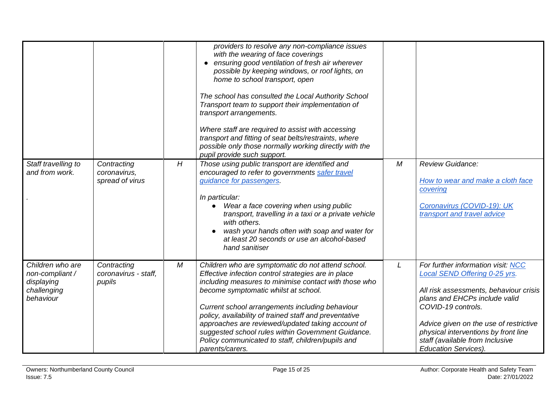|                                                                               |                                                |                | providers to resolve any non-compliance issues<br>with the wearing of face coverings<br>• ensuring good ventilation of fresh air wherever<br>possible by keeping windows, or roof lights, on<br>home to school transport, open<br>The school has consulted the Local Authority School<br>Transport team to support their implementation of<br>transport arrangements.<br>Where staff are required to assist with accessing<br>transport and fitting of seat belts/restraints, where<br>possible only those normally working directly with the<br>pupil provide such support. |   |                                                                                                                                                                                                                                                                                                                          |
|-------------------------------------------------------------------------------|------------------------------------------------|----------------|------------------------------------------------------------------------------------------------------------------------------------------------------------------------------------------------------------------------------------------------------------------------------------------------------------------------------------------------------------------------------------------------------------------------------------------------------------------------------------------------------------------------------------------------------------------------------|---|--------------------------------------------------------------------------------------------------------------------------------------------------------------------------------------------------------------------------------------------------------------------------------------------------------------------------|
| Staff travelling to<br>and from work.                                         | Contracting<br>coronavirus,<br>spread of virus | $\overline{H}$ | Those using public transport are identified and<br>encouraged to refer to governments safer travel<br><i>guidance for passengers.</i><br>In particular:<br>Wear a face covering when using public<br>transport, travelling in a taxi or a private vehicle<br>with others.<br>wash your hands often with soap and water for<br>at least 20 seconds or use an alcohol-based<br>hand sanitiser                                                                                                                                                                                  | M | <b>Review Guidance:</b><br>How to wear and make a cloth face<br>covering<br>Coronavirus (COVID-19): UK<br>transport and travel advice                                                                                                                                                                                    |
| Children who are<br>non-compliant /<br>displaying<br>challenging<br>behaviour | Contracting<br>coronavirus - staff.<br>pupils  | M              | Children who are symptomatic do not attend school.<br>Effective infection control strategies are in place<br>including measures to minimise contact with those who<br>become symptomatic whilst at school.<br>Current school arrangements including behaviour<br>policy, availability of trained staff and preventative<br>approaches are reviewed/updated taking account of<br>suggested school rules within Government Guidance.<br>Policy communicated to staff, children/pupils and<br>parents/carers.                                                                   | L | For further information visit: NCC<br>Local SEND Offering 0-25 yrs.<br>All risk assessments, behaviour crisis<br>plans and EHCPs include valid<br>COVID-19 controls.<br>Advice given on the use of restrictive<br>physical interventions by front line<br>staff (available from Inclusive<br><b>Education Services).</b> |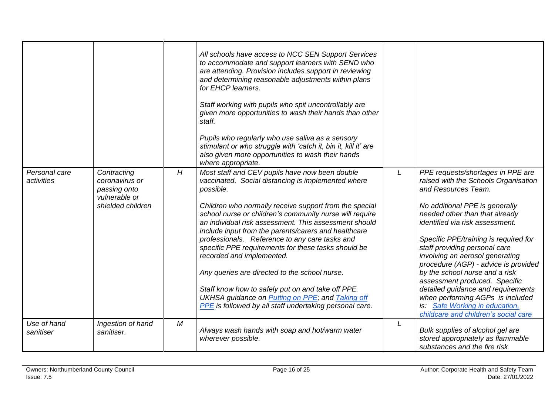|                             |                                                                                     |   | All schools have access to NCC SEN Support Services<br>to accommodate and support learners with SEND who<br>are attending. Provision includes support in reviewing<br>and determining reasonable adjustments within plans<br>for EHCP learners.<br>Staff working with pupils who spit uncontrollably are<br>given more opportunities to wash their hands than other<br>staff.<br>Pupils who regularly who use saliva as a sensory<br>stimulant or who struggle with 'catch it, bin it, kill it' are<br>also given more opportunities to wash their hands<br>where appropriate.                                                                                                                                            |   |                                                                                                                                                                                                                                                                                                                                                                                                                                                                                                                                                                                     |
|-----------------------------|-------------------------------------------------------------------------------------|---|---------------------------------------------------------------------------------------------------------------------------------------------------------------------------------------------------------------------------------------------------------------------------------------------------------------------------------------------------------------------------------------------------------------------------------------------------------------------------------------------------------------------------------------------------------------------------------------------------------------------------------------------------------------------------------------------------------------------------|---|-------------------------------------------------------------------------------------------------------------------------------------------------------------------------------------------------------------------------------------------------------------------------------------------------------------------------------------------------------------------------------------------------------------------------------------------------------------------------------------------------------------------------------------------------------------------------------------|
| Personal care<br>activities | Contracting<br>coronavirus or<br>passing onto<br>vulnerable or<br>shielded children | H | Most staff and CEV pupils have now been double<br>vaccinated. Social distancing is implemented where<br>possible.<br>Children who normally receive support from the special<br>school nurse or children's community nurse will require<br>an individual risk assessment. This assessment should<br>include input from the parents/carers and healthcare<br>professionals. Reference to any care tasks and<br>specific PPE requirements for these tasks should be<br>recorded and implemented.<br>Any queries are directed to the school nurse.<br>Staff know how to safely put on and take off PPE.<br><b>UKHSA guidance on Putting on PPE; and Taking off</b><br>PPE is followed by all staff undertaking personal care. | L | PPE requests/shortages in PPE are<br>raised with the Schools Organisation<br>and Resources Team.<br>No additional PPE is generally<br>needed other than that already<br>identified via risk assessment.<br>Specific PPE/training is required for<br>staff providing personal care<br>involving an aerosol generating<br>procedure (AGP) - advice is provided<br>by the school nurse and a risk<br>assessment produced. Specific<br>detailed guidance and requirements<br>when performing AGPs is included<br>is: Safe Working in education,<br>childcare and children's social care |
| Use of hand<br>sanitiser    | Ingestion of hand<br>sanitiser.                                                     | М | Always wash hands with soap and hot/warm water<br>wherever possible.                                                                                                                                                                                                                                                                                                                                                                                                                                                                                                                                                                                                                                                      | L | Bulk supplies of alcohol gel are<br>stored appropriately as flammable<br>substances and the fire risk                                                                                                                                                                                                                                                                                                                                                                                                                                                                               |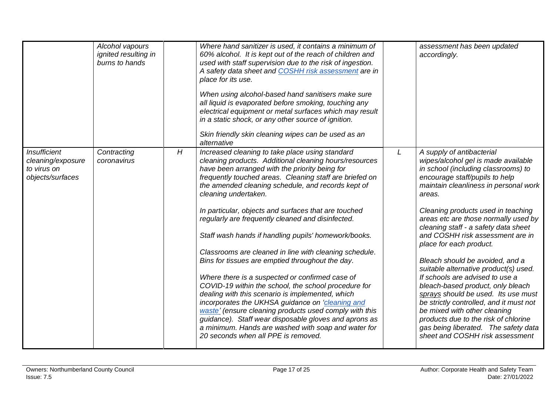|                                                                                    | Alcohol vapours<br><i>ignited</i> resulting in<br>burns to hands |   | Where hand sanitizer is used, it contains a minimum of<br>60% alcohol. It is kept out of the reach of children and<br>used with staff supervision due to the risk of ingestion.<br>A safety data sheet and COSHH risk assessment are in<br>place for its use.                                                                                                                                                                                                                                                                                                                                                                                                                                                                                                                                                                                                                                                                                                                                                                              |   | assessment has been updated<br>accordingly.                                                                                                                                                                                                                                                                                                                                                                                                                                                                                                                                                                                                                                                                                                                                |
|------------------------------------------------------------------------------------|------------------------------------------------------------------|---|--------------------------------------------------------------------------------------------------------------------------------------------------------------------------------------------------------------------------------------------------------------------------------------------------------------------------------------------------------------------------------------------------------------------------------------------------------------------------------------------------------------------------------------------------------------------------------------------------------------------------------------------------------------------------------------------------------------------------------------------------------------------------------------------------------------------------------------------------------------------------------------------------------------------------------------------------------------------------------------------------------------------------------------------|---|----------------------------------------------------------------------------------------------------------------------------------------------------------------------------------------------------------------------------------------------------------------------------------------------------------------------------------------------------------------------------------------------------------------------------------------------------------------------------------------------------------------------------------------------------------------------------------------------------------------------------------------------------------------------------------------------------------------------------------------------------------------------------|
|                                                                                    |                                                                  |   | When using alcohol-based hand sanitisers make sure<br>all liquid is evaporated before smoking, touching any<br>electrical equipment or metal surfaces which may result<br>in a static shock, or any other source of ignition.<br>Skin friendly skin cleaning wipes can be used as an                                                                                                                                                                                                                                                                                                                                                                                                                                                                                                                                                                                                                                                                                                                                                       |   |                                                                                                                                                                                                                                                                                                                                                                                                                                                                                                                                                                                                                                                                                                                                                                            |
| <i><b>Insufficient</b></i><br>cleaning/exposure<br>to virus on<br>objects/surfaces | Contracting<br>coronavirus                                       | H | alternative<br>Increased cleaning to take place using standard<br>cleaning products. Additional cleaning hours/resources<br>have been arranged with the priority being for<br>frequently touched areas. Cleaning staff are briefed on<br>the amended cleaning schedule, and records kept of<br>cleaning undertaken.<br>In particular, objects and surfaces that are touched<br>regularly are frequently cleaned and disinfected.<br>Staff wash hands if handling pupils' homework/books.<br>Classrooms are cleaned in line with cleaning schedule.<br>Bins for tissues are emptied throughout the day.<br>Where there is a suspected or confirmed case of<br>COVID-19 within the school, the school procedure for<br>dealing with this scenario is implemented, which<br>incorporates the UKHSA guidance on 'cleaning and<br>waste' (ensure cleaning products used comply with this<br>guidance). Staff wear disposable gloves and aprons as<br>a minimum. Hands are washed with soap and water for<br>20 seconds when all PPE is removed. | L | A supply of antibacterial<br>wipes/alcohol gel is made available<br>in school (including classrooms) to<br>encourage staff/pupils to help<br>maintain cleanliness in personal work<br>areas.<br>Cleaning products used in teaching<br>areas etc are those normally used by<br>cleaning staff - a safety data sheet<br>and COSHH risk assessment are in<br>place for each product.<br>Bleach should be avoided, and a<br>suitable alternative product(s) used.<br>If schools are advised to use a<br>bleach-based product, only bleach<br>sprays should be used. Its use must<br>be strictly controlled, and it must not<br>be mixed with other cleaning<br>products due to the risk of chlorine<br>gas being liberated. The safety data<br>sheet and COSHH risk assessment |
|                                                                                    |                                                                  |   |                                                                                                                                                                                                                                                                                                                                                                                                                                                                                                                                                                                                                                                                                                                                                                                                                                                                                                                                                                                                                                            |   |                                                                                                                                                                                                                                                                                                                                                                                                                                                                                                                                                                                                                                                                                                                                                                            |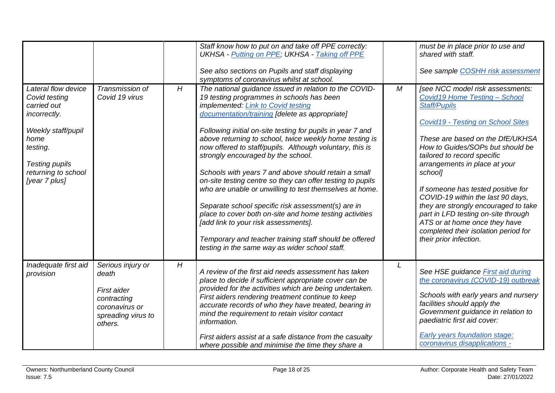<span id="page-17-0"></span>

|                                                                                                                                                                                |                                                                                                             |   | Staff know how to put on and take off PPE correctly:<br><b>UKHSA</b> - Putting on PPE; UKHSA - Taking off PPE<br>See also sections on Pupils and staff displaying<br>symptoms of coronavirus whilst at school.                                                                                                                                                                                                                                                                                                                                                                                                                                                                                                                                                                                                                                                               |   | must be in place prior to use and<br>shared with staff.<br>See sample COSHH risk assessment                                                                                                                                                                                                                                                                                                                                                                                                                                                          |
|--------------------------------------------------------------------------------------------------------------------------------------------------------------------------------|-------------------------------------------------------------------------------------------------------------|---|------------------------------------------------------------------------------------------------------------------------------------------------------------------------------------------------------------------------------------------------------------------------------------------------------------------------------------------------------------------------------------------------------------------------------------------------------------------------------------------------------------------------------------------------------------------------------------------------------------------------------------------------------------------------------------------------------------------------------------------------------------------------------------------------------------------------------------------------------------------------------|---|------------------------------------------------------------------------------------------------------------------------------------------------------------------------------------------------------------------------------------------------------------------------------------------------------------------------------------------------------------------------------------------------------------------------------------------------------------------------------------------------------------------------------------------------------|
| Lateral flow device<br>Covid testing<br>carried out<br>incorrectly.<br>Weekly staff/pupil<br>home<br>testing.<br><b>Testing pupils</b><br>returning to school<br>[year 7 plus] | Transmission of<br>Covid 19 virus                                                                           | H | The national guidance issued in relation to the COVID-<br>19 testing programmes in schools has been<br>implemented: Link to Covid testing<br>documentation/training [delete as appropriate]<br>Following initial on-site testing for pupils in year 7 and<br>above returning to school, twice weekly home testing is<br>now offered to staff/pupils. Although voluntary, this is<br>strongly encouraged by the school.<br>Schools with years 7 and above should retain a small<br>on-site testing centre so they can offer testing to pupils<br>who are unable or unwilling to test themselves at home.<br>Separate school specific risk assessment(s) are in<br>place to cover both on-site and home testing activities<br>[add link to your risk assessments].<br>Temporary and teacher training staff should be offered<br>testing in the same way as wider school staff. | М | [see NCC model risk assessments:<br>Covid19 Home Testing - School<br><b>Staff/Pupils</b><br><b>Covid19 - Testing on School Sites</b><br>These are based on the DfE/UKHSA<br>How to Guides/SOPs but should be<br>tailored to record specific<br>arrangements in place at your<br>school]<br>If someone has tested positive for<br>COVID-19 within the last 90 days,<br>they are strongly encouraged to take<br>part in LFD testing on-site through<br>ATS or at home once they have<br>completed their isolation period for<br>their prior infection. |
| Inadequate first aid<br>provision                                                                                                                                              | Serious injury or<br>death<br>First aider<br>contracting<br>coronavirus or<br>spreading virus to<br>others. | H | A review of the first aid needs assessment has taken<br>place to decide if sufficient appropriate cover can be<br>provided for the activities which are being undertaken.<br>First aiders rendering treatment continue to keep<br>accurate records of who they have treated, bearing in<br>mind the requirement to retain visitor contact<br>information.<br>First aiders assist at a safe distance from the casualty<br>where possible and minimise the time they share a                                                                                                                                                                                                                                                                                                                                                                                                   | L | See HSE guidance <b>First aid during</b><br>the coronavirus (COVID-19) outbreak<br>Schools with early years and nursery<br>facilities should apply the<br>Government guidance in relation to<br>paediatric first aid cover:<br>Early years foundation stage:<br>coronavirus disapplications -                                                                                                                                                                                                                                                        |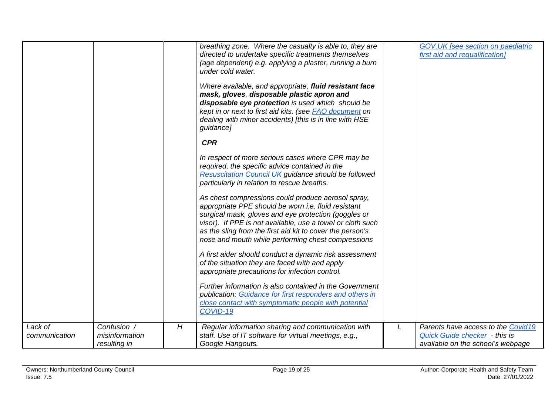|                          |                                               |   | breathing zone. Where the casualty is able to, they are<br>directed to undertake specific treatments themselves<br>(age dependent) e.g. applying a plaster, running a burn<br>under cold water.<br>Where available, and appropriate, fluid resistant face<br>mask, gloves, disposable plastic apron and<br>disposable eye protection is used which should be<br>kept in or next to first aid kits. (see FAQ document on<br>dealing with minor accidents) [this is in line with HSE<br>guidance]<br><b>CPR</b><br>In respect of more serious cases where CPR may be<br>required, the specific advice contained in the<br><b>Resuscitation Council UK guidance should be followed</b><br>particularly in relation to rescue breaths.<br>As chest compressions could produce aerosol spray,<br>appropriate PPE should be worn i.e. fluid resistant<br>surgical mask, gloves and eye protection (goggles or<br>visor). If PPE is not available, use a towel or cloth such<br>as the sling from the first aid kit to cover the person's<br>nose and mouth while performing chest compressions<br>A first aider should conduct a dynamic risk assessment<br>of the situation they are faced with and apply<br>appropriate precautions for infection control.<br>Further information is also contained in the Government<br>publication: Guidance for first responders and others in<br>close contact with symptomatic people with potential<br>COVID-19 |   | GOV.UK [see section on paediatric<br>first aid and requalification]                                             |
|--------------------------|-----------------------------------------------|---|---------------------------------------------------------------------------------------------------------------------------------------------------------------------------------------------------------------------------------------------------------------------------------------------------------------------------------------------------------------------------------------------------------------------------------------------------------------------------------------------------------------------------------------------------------------------------------------------------------------------------------------------------------------------------------------------------------------------------------------------------------------------------------------------------------------------------------------------------------------------------------------------------------------------------------------------------------------------------------------------------------------------------------------------------------------------------------------------------------------------------------------------------------------------------------------------------------------------------------------------------------------------------------------------------------------------------------------------------------------------------------------------------------------------------------------------------|---|-----------------------------------------------------------------------------------------------------------------|
| Lack of<br>communication | Confusion /<br>misinformation<br>resulting in | H | Regular information sharing and communication with<br>staff. Use of IT software for virtual meetings, e.g.,<br>Google Hangouts.                                                                                                                                                                                                                                                                                                                                                                                                                                                                                                                                                                                                                                                                                                                                                                                                                                                                                                                                                                                                                                                                                                                                                                                                                                                                                                                   | L | Parents have access to the Covid19<br><b>Quick Guide checker</b> - this is<br>available on the school's webpage |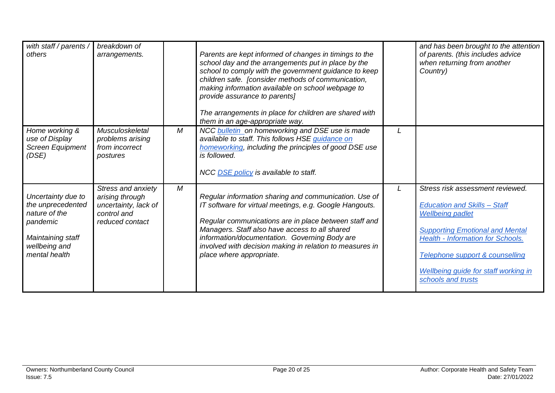| with staff / parents /<br>others                                                                                            | breakdown of<br>arrangements.                                                                   |   | Parents are kept informed of changes in timings to the<br>school day and the arrangements put in place by the<br>school to comply with the government guidance to keep<br>children safe. [consider methods of communication,<br>making information available on school webpage to<br>provide assurance to parents]<br>The arrangements in place for children are shared with<br>them in an age-appropriate way. |   | and has been brought to the attention<br>of parents. (this includes advice<br>when returning from another<br>Country)                                                                                                                                                                                       |
|-----------------------------------------------------------------------------------------------------------------------------|-------------------------------------------------------------------------------------------------|---|-----------------------------------------------------------------------------------------------------------------------------------------------------------------------------------------------------------------------------------------------------------------------------------------------------------------------------------------------------------------------------------------------------------------|---|-------------------------------------------------------------------------------------------------------------------------------------------------------------------------------------------------------------------------------------------------------------------------------------------------------------|
| Home working &<br>use of Display<br><b>Screen Equipment</b><br>(DSE)                                                        | Musculoskeletal<br>problems arising<br>from incorrect<br>postures                               | M | NCC bulletin on homeworking and DSE use is made<br>available to staff. This follows HSE guidance on<br>homeworking, including the principles of good DSE use<br>is followed.<br>NCC DSE policy is available to staff.                                                                                                                                                                                           |   |                                                                                                                                                                                                                                                                                                             |
| Uncertainty due to<br>the unprecedented<br>nature of the<br>pandemic<br>Maintaining staff<br>wellbeing and<br>mental health | Stress and anxiety<br>arising through<br>uncertainty, lack of<br>control and<br>reduced contact | M | Regular information sharing and communication. Use of<br>IT software for virtual meetings, e.g. Google Hangouts.<br>Regular communications are in place between staff and<br>Managers. Staff also have access to all shared<br>information/documentation. Governing Body are<br>involved with decision making in relation to measures in<br>place where appropriate.                                            | L | Stress risk assessment reviewed.<br><b>Education and Skills - Staff</b><br><b>Wellbeing padlet</b><br><b>Supporting Emotional and Mental</b><br><b>Health - Information for Schools.</b><br><b>Telephone support &amp; counselling</b><br><b>Wellbeing guide for staff working in</b><br>schools and trusts |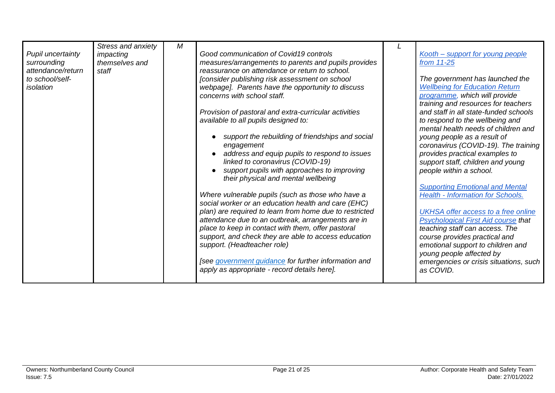<span id="page-20-0"></span>

|                                  |                                                   | М |                                                                                                          |                                                                      |
|----------------------------------|---------------------------------------------------|---|----------------------------------------------------------------------------------------------------------|----------------------------------------------------------------------|
| Pupil uncertainty<br>surrounding | Stress and anxiety<br>impacting<br>themselves and |   | Good communication of Covid19 controls<br>measures/arrangements to parents and pupils provides           | Kooth - support for young people<br>from 11-25                       |
| attendance/return                | staff                                             |   | reassurance on attendance or return to school.                                                           |                                                                      |
| to school/self-                  |                                                   |   | [consider publishing risk assessment on school                                                           | The government has launched the                                      |
| isolation                        |                                                   |   | webpage]. Parents have the opportunity to discuss                                                        | <b>Wellbeing for Education Return</b>                                |
|                                  |                                                   |   | concerns with school staff.                                                                              | programme, which will provide<br>training and resources for teachers |
|                                  |                                                   |   | Provision of pastoral and extra-curricular activities                                                    | and staff in all state-funded schools                                |
|                                  |                                                   |   | available to all pupils designed to:                                                                     | to respond to the wellbeing and                                      |
|                                  |                                                   |   |                                                                                                          | mental health needs of children and                                  |
|                                  |                                                   |   | support the rebuilding of friendships and social                                                         | young people as a result of                                          |
|                                  |                                                   |   | engagement                                                                                               | coronavirus (COVID-19). The training                                 |
|                                  |                                                   |   | address and equip pupils to respond to issues                                                            | provides practical examples to                                       |
|                                  |                                                   |   | linked to coronavirus (COVID-19)                                                                         | support staff, children and young                                    |
|                                  |                                                   |   | support pupils with approaches to improving<br>their physical and mental wellbeing                       | people within a school.                                              |
|                                  |                                                   |   |                                                                                                          | <b>Supporting Emotional and Mental</b>                               |
|                                  |                                                   |   | Where vulnerable pupils (such as those who have a<br>social worker or an education health and care (EHC) | <b>Health - Information for Schools.</b>                             |
|                                  |                                                   |   | plan) are required to learn from home due to restricted                                                  | UKHSA offer access to a free online                                  |
|                                  |                                                   |   | attendance due to an outbreak, arrangements are in                                                       | <b>Psychological First Aid course that</b>                           |
|                                  |                                                   |   | place to keep in contact with them, offer pastoral                                                       | teaching staff can access. The                                       |
|                                  |                                                   |   | support, and check they are able to access education                                                     | course provides practical and                                        |
|                                  |                                                   |   | support. (Headteacher role)                                                                              | emotional support to children and                                    |
|                                  |                                                   |   |                                                                                                          | young people affected by                                             |
|                                  |                                                   |   | [see government quidance for further information and                                                     | emergencies or crisis situations, such                               |
|                                  |                                                   |   | apply as appropriate - record details here].                                                             | as COVID.                                                            |
|                                  |                                                   |   |                                                                                                          |                                                                      |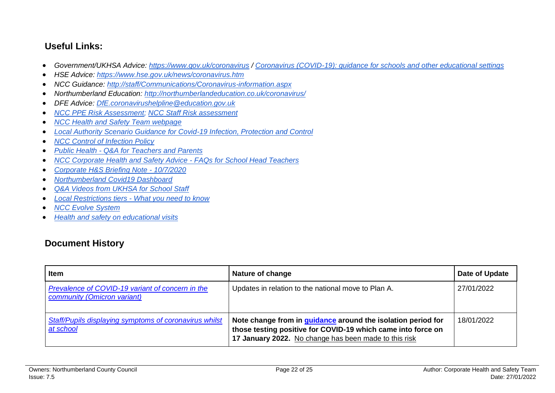## **Useful Links:**

- *Government/UKHSA Advice:<https://www.gov.uk/coronavirus> / [Coronavirus \(COVID-19\): guidance for schools and other educational settings](https://www.gov.uk/government/collections/coronavirus-covid-19-guidance-for-schools-and-other-educational-settings)*
- *HSE Advice:<https://www.hse.gov.uk/news/coronavirus.htm>*
- *NCC Guidance:<http://staff/Communications/Coronavirus-information.aspx>*
- *Northumberland Education:<http://northumberlandeducation.co.uk/coronavirus/>*
- *DFE Advice: [DfE.coronavirushelpline@education.gov.uk](mailto:DfE.coronavirushelpline@education.gov.uk)*
- *[NCC PPE Risk Assessment;](https://drive.google.com/open?id=1sUlE_jdLkBZdI43kOR6mYCzaiKlTeRzGkODE3qshrr4) [NCC Staff Risk assessment](https://docs.google.com/document/d/1GFWU1_ox_k5SlXHhDfxdwa_gNnBlCM60NNhXjr7Kf40/edit)*
- *[NCC Health and Safety Team webpage](https://www.northumberland.gov.uk/About/Staff.aspx#staffhealthsafety)*
- *[Local Authority Scenario Guidance for Covid-19 Infection, Protection and Control](https://docs.google.com/document/d/1v4ujp1l1zuF89TqDOED7T1kucMSPPyLnLQwor2CHq08/edit)*
- *[NCC Control of Infection Policy](https://www.northumberland.gov.uk/NorthumberlandCountyCouncil/media/About-the-Council/Staff%20Information/Health%20and%20safety/Policy%20Documents%20and%20Guidance/Control-of-Infection-Policy-August-2013-HR-Policy.docx)*
- *Public Health - [Q&A for Teachers and Parents](https://drive.google.com/file/d/17XV-sP7aRNuW59JxoHV6YQzh62rm1wRZ/view?usp=sharing)*
- *[NCC Corporate Health and Safety Advice -](https://northumberland365.sharepoint.com/:w:/s/StaffPortal/EZ8UvoW88aZCi74_cavsuuIBWlHIpnJFVMVn1mM_pulI3Q) FAQs for School Head Teachers*
- *[Corporate H&S Briefing Note -](https://docs.google.com/document/d/1qs4cbslP43wLz5MsoDJZ7OCTo_1AyQq76kXIc_KYhls/edit) 10/7/2020*
- *[Northumberland Covid19 Dashboard](https://public.tableau.com/profile/julian5701#!/vizhome/COVID-19inNorthumberland/Introduction)*
- *[Q&A Videos from UKHSA](https://northumberlandeducation.co.uk/qa-videos-to-help-school-staff-2/) for School Staff*
- *[Local Restrictions tiers -](https://www.gov.uk/guidance/local-restriction-tiers-what-you-need-to-know) What you need to know*
- *[NCC Evolve System](https://evolve.edufocus.co.uk/evco10/evchome_public.asp?domain=northumberlandvisits.org.uk)*
- *[Health and safety on educational visits](https://www.gov.uk/government/publications/health-and-safety-on-educational-visits/health-and-safety-on-educational-visits)*

## **Document History**

| <b>Item</b>                                                                     | Nature of change                                                                                                                                                                      | Date of Update |
|---------------------------------------------------------------------------------|---------------------------------------------------------------------------------------------------------------------------------------------------------------------------------------|----------------|
| Prevalence of COVID-19 variant of concern in the<br>community (Omicron variant) | Updates in relation to the national move to Plan A.                                                                                                                                   | 27/01/2022     |
| <b>Staff/Pupils displaying symptoms of coronavirus whilst</b><br>at school      | Note change from in guidance around the isolation period for<br>those testing positive for COVID-19 which came into force on<br>17 January 2022. No change has been made to this risk | 18/01/2022     |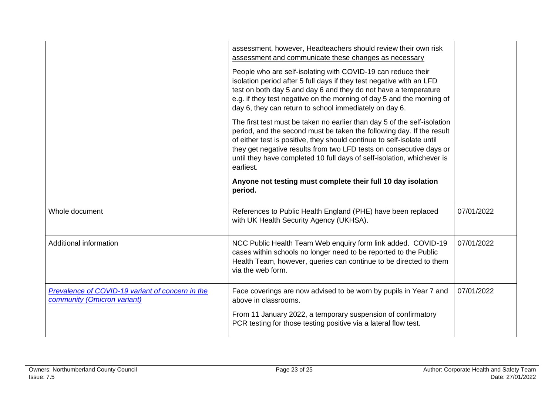|                                                                                 | assessment, however, Headteachers should review their own risk<br>assessment and communicate these changes as necessary<br>People who are self-isolating with COVID-19 can reduce their<br>isolation period after 5 full days if they test negative with an LFD<br>test on both day 5 and day 6 and they do not have a temperature<br>e.g. if they test negative on the morning of day 5 and the morning of<br>day 6, they can return to school immediately on day 6.<br>The first test must be taken no earlier than day 5 of the self-isolation<br>period, and the second must be taken the following day. If the result<br>of either test is positive, they should continue to self-isolate until<br>they get negative results from two LFD tests on consecutive days or<br>until they have completed 10 full days of self-isolation, whichever is<br>earliest.<br>Anyone not testing must complete their full 10 day isolation<br>period. |            |
|---------------------------------------------------------------------------------|-----------------------------------------------------------------------------------------------------------------------------------------------------------------------------------------------------------------------------------------------------------------------------------------------------------------------------------------------------------------------------------------------------------------------------------------------------------------------------------------------------------------------------------------------------------------------------------------------------------------------------------------------------------------------------------------------------------------------------------------------------------------------------------------------------------------------------------------------------------------------------------------------------------------------------------------------|------------|
| Whole document                                                                  | References to Public Health England (PHE) have been replaced<br>with UK Health Security Agency (UKHSA).                                                                                                                                                                                                                                                                                                                                                                                                                                                                                                                                                                                                                                                                                                                                                                                                                                       | 07/01/2022 |
| <b>Additional information</b>                                                   | NCC Public Health Team Web enquiry form link added. COVID-19<br>cases within schools no longer need to be reported to the Public<br>Health Team, however, queries can continue to be directed to them<br>via the web form.                                                                                                                                                                                                                                                                                                                                                                                                                                                                                                                                                                                                                                                                                                                    | 07/01/2022 |
| Prevalence of COVID-19 variant of concern in the<br>community (Omicron variant) | Face coverings are now advised to be worn by pupils in Year 7 and<br>above in classrooms.<br>From 11 January 2022, a temporary suspension of confirmatory<br>PCR testing for those testing positive via a lateral flow test.                                                                                                                                                                                                                                                                                                                                                                                                                                                                                                                                                                                                                                                                                                                  | 07/01/2022 |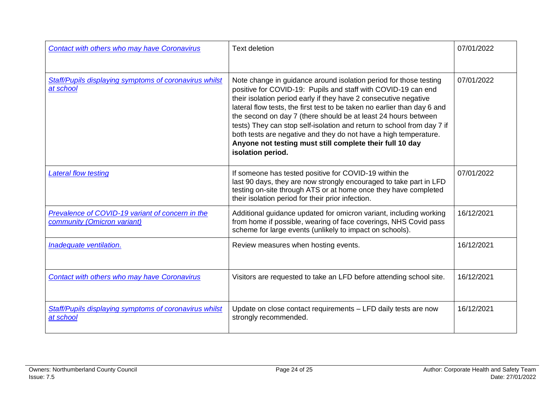| Contact with others who may have Coronavirus                                    | <b>Text deletion</b>                                                                                                                                                                                                                                                                                                                                                                                                                                                                                                                                                                | 07/01/2022 |
|---------------------------------------------------------------------------------|-------------------------------------------------------------------------------------------------------------------------------------------------------------------------------------------------------------------------------------------------------------------------------------------------------------------------------------------------------------------------------------------------------------------------------------------------------------------------------------------------------------------------------------------------------------------------------------|------------|
| Staff/Pupils displaying symptoms of coronavirus whilst<br>at school             | Note change in guidance around isolation period for those testing<br>positive for COVID-19: Pupils and staff with COVID-19 can end<br>their isolation period early if they have 2 consecutive negative<br>lateral flow tests, the first test to be taken no earlier than day 6 and<br>the second on day 7 (there should be at least 24 hours between<br>tests) They can stop self-isolation and return to school from day 7 if<br>both tests are negative and they do not have a high temperature.<br>Anyone not testing must still complete their full 10 day<br>isolation period. | 07/01/2022 |
| <b>Lateral flow testing</b>                                                     | If someone has tested positive for COVID-19 within the<br>last 90 days, they are now strongly encouraged to take part in LFD<br>testing on-site through ATS or at home once they have completed<br>their isolation period for their prior infection.                                                                                                                                                                                                                                                                                                                                | 07/01/2022 |
| Prevalence of COVID-19 variant of concern in the<br>community (Omicron variant) | Additional guidance updated for omicron variant, including working<br>from home if possible, wearing of face coverings, NHS Covid pass<br>scheme for large events (unlikely to impact on schools).                                                                                                                                                                                                                                                                                                                                                                                  | 16/12/2021 |
| Inadequate ventilation.                                                         | Review measures when hosting events.                                                                                                                                                                                                                                                                                                                                                                                                                                                                                                                                                | 16/12/2021 |
| <b>Contact with others who may have Coronavirus</b>                             | Visitors are requested to take an LFD before attending school site.                                                                                                                                                                                                                                                                                                                                                                                                                                                                                                                 | 16/12/2021 |
| Staff/Pupils displaying symptoms of coronavirus whilst<br>at school             | Update on close contact requirements - LFD daily tests are now<br>strongly recommended.                                                                                                                                                                                                                                                                                                                                                                                                                                                                                             | 16/12/2021 |